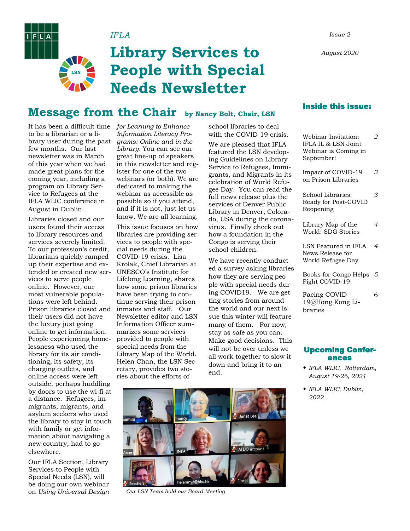*August 2020*

#### *IFLA Issue 2*

# **Library Services to People with Special Needs Newsletter**

### **Message from the Chair by Nancy Bolt, Chair, LSN**

It has been a difficult time *for Learning to Enhance*  to be a librarian or a library user during the past few months. Our last newsletter was in March of this year when we had made great plans for the coming year, including a program on Library Service to Refugees at the IFLA WLIC conference in August in Dublin.

**LSN**

**FILIA** 

Libraries closed and our users found their access to library resources and services severely limited. To our profession's credit, librarians quickly ramped up their expertise and extended or created new services to serve people online. However, our most vulnerable populations were left behind. Prison libraries closed and inmates and staff. Our their users did not have the luxury just going online to get information. People experiencing homelessness who used the library for its air conditioning, its safety, its charging outlets, and online access were left outside, perhaps huddling by doors to use the wi-fi at a distance. Refugees, immigrants, migrants, and asylum seekers who used the library to stay in touch with family or get information about navigating a new country, had to go elsewhere.

Our IFLA Section, Library Services to People with Special Needs (LSN), will be doing our own webinar on *Using Universal Design* 

*Information Literacy Programs: Online and in the Library.* You can see our great line-up of speakers in this newsletter and register for one of the two webinars (or both). We are dedicated to making the webinar as accessible as possible so if you attend, and if it is not, just let us know. We are all learning.

This issue focuses on how libraries are providing services to people with special needs during the COVID-19 crisis. Lisa Krolak, Chief Librarian at UNESCO's Institute for Lifelong Learning, shares how some prison libraries have been trying to continue serving their prison Newsletter editor and LSN Information Officer summarizes some services provided to people with special needs from the Library Map of the World. Helen Chan, the LSN Secretary, provides two stories about the efforts of

school libraries to deal with the COVID-19 crisis. We are pleased that IFLA featured the LSN developing Guidelines on Library Service to Refugees, Immigrants, and Migrants in its celebration of World Refugee Day. You can read the full news release plus the services of Denver Public Library in Denver, Colorado, USA during the coronavirus. Finally check out how a foundation in the Congo is serving their school children.

We have recently conducted a survey asking libraries how they are serving people with special needs during COVID19. We are getting stories from around the world and our next issue this winter will feature many of them. For now, stay as safe as you can. Make good decisions. This will not be over unless we all work together to slow it down and bring it to an end.



| Webinar Invitation:<br>IFLA IL & LSN Joint<br>Webinar is Coming in<br>September! | 2 |
|----------------------------------------------------------------------------------|---|
| Impact of COVID-19<br>on Prison Libraries                                        | 3 |
| School Libraries:<br>Ready for Post-COVID<br>Reopening                           | 3 |
| Library Map of the<br>World: SDG Stories                                         | 4 |
| LSN Featured in IFLA<br>News Release for<br>World Refugee Day                    | 4 |
| Books for Congo Helps<br>Fight COVID-19                                          | 5 |
| Facing COVID-<br>19@Hong Kong Li-<br>braries                                     | 6 |



*Our LSN Team hold our Board Meeting*

#### Upcoming Conferences

- *IFLA WLIC, Rotterdam, August 19-26, 2021*
- *IFLA WLIC, Dublin, 2022*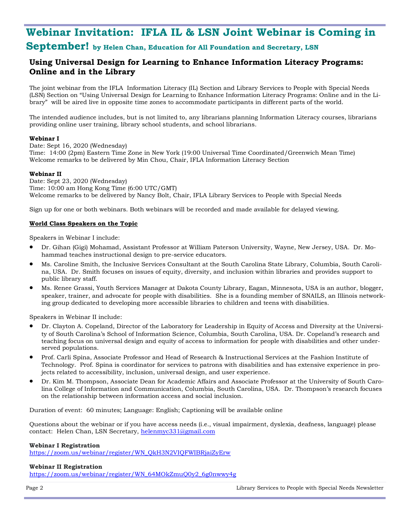## **Webinar Invitation: IFLA IL & LSN Joint Webinar is Coming in September! by Helen Chan, Education for All Foundation and Secretary, LSN**

### **Using Universal Design for Learning to Enhance Information Literacy Programs: Online and in the Library**

The joint webinar from the IFLA Information Literacy (IL) Section and Library Services to People with Special Needs (LSN) Section on "Using Universal Design for Learning to Enhance Information Literacy Programs: Online and in the Library" will be aired live in opposite time zones to accommodate participants in different parts of the world.

The intended audience includes, but is not limited to, any librarians planning Information Literacy courses, librarians providing online user training, library school students, and school librarians.

#### **Webinar I**

Date: Sept 16, 2020 (Wednesday) Time: 14:00 (2pm) Eastern Time Zone in New York (19:00 Universal Time Coordinated/Greenwich Mean Time) Welcome remarks to be delivered by Min Chou, Chair, IFLA Information Literacy Section

#### **Webinar II**

Date: Sept 23, 2020 (Wednesday) Time: 10:00 am Hong Kong Time (6:00 UTC/GMT) Welcome remarks to be delivered by Nancy Bolt, Chair, IFLA Library Services to People with Special Needs

Sign up for one or both webinars. Both webinars will be recorded and made available for delayed viewing.

#### **World Class Speakers on the Topic**

Speakers in Webinar I include:

- Dr. Gihan (Gigi) Mohamad, Assistant Professor at William Paterson University, Wayne, New Jersey, USA. Dr. Mohammad teaches instructional design to pre-service educators.
- Ms. Caroline Smith, the Inclusive Services Consultant at the South Carolina State Library, Columbia, South Carolina, USA. Dr. Smith focuses on issues of equity, diversity, and inclusion within libraries and provides support to public library staff.
- Ms. Renee Grassi, Youth Services Manager at Dakota County Library, Eagan, Minnesota, USA is an author, blogger, speaker, trainer, and advocate for people with disabilities. She is a founding member of SNAILS, an Illinois networking group dedicated to developing more accessible libraries to children and teens with disabilities.

Speakers in Webinar II include:

- Dr. Clayton A. Copeland, Director of the Laboratory for Leadership in Equity of Access and Diversity at the University of South Carolina's School of Information Science, Columbia, South Carolina, USA. Dr. Copeland's research and teaching focus on universal design and equity of access to information for people with disabilities and other underserved populations.
- Prof. Carli Spina, Associate Professor and Head of Research & Instructional Services at the Fashion Institute of Technology. Prof. Spina is coordinator for services to patrons with disabilities and has extensive experience in projects related to accessibility, inclusion, universal design, and user experience.
- Dr. Kim M. Thompson, Associate Dean for Academic Affairs and Associate Professor at the University of South Carolina College of Information and Communication, Columbia, South Carolina, USA. Dr. Thompson's research focuses on the relationship between information access and social inclusion.

Duration of event: 60 minutes; Language: English; Captioning will be available online

Questions about the webinar or if you have access needs (i.e., visual impairment, dyslexia, deafness, language) please contact: Helen Chan, LSN Secretary, [helenmyc331@gmail.com](mailto:mailtohelenmyc331@gmail.com)

#### **Webinar I Registration**

[https://zoom.us/webinar/register/WN\\_QkH3N2VIQFWIBRjaiZyErw](https://zoom.us/webinar/register/WN_QkH3N2VIQFWIBRjaiZyErw)

#### **Webinar II Registration**

[https://zoom.us/webinar/register/WN\\_64MOkZmuQ0y2\\_6g0nwwy4g](https://zoom.us/webinar/register/WN_64MOkZmuQ0y2_6g0nwwy4g)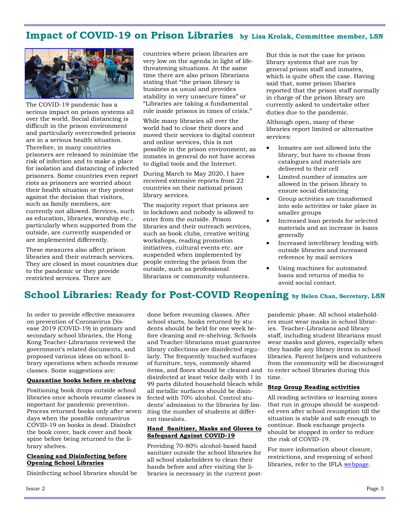### **Impact of COVID-19 on Prison Libraries by Lisa Krolak, Committee member, LSN**



The COVID-19 pandemic has a serious impact on prison systems all over the world. Social distancing is difficult in the prison environment and particularly overcrowded prisons are in a serious health situation. Therefore, in many countries prisoners are released to minimize the risk of infection and to make a place for isolation and distancing of infected prisoners. Some countries even report riots as prisoners are worried about their health situation or they protest against the decision that visitors, such as family members, are currently not allowed. Services, such as education, libraries, worship etc., particularly when supported from the outside, are currently suspended or are implemented differently.

These measures also affect prison libraries and their outreach services. They are closed in most countries due to the pandemic or they provide restricted services. There are

countries where prison libraries are very low on the agenda in light of lifethreatening situations. At the same time there are also prison librarians stating that "the prison library is business as usual and provides stability in very unsecure times" or "Libraries are taking a fundamental role inside prisons in times of crisis."

While many libraries all over the world had to close their doors and moved their services to digital content and online services, this is not possible in the prison environment, as inmates in general do not have access to digital tools and the Internet.

During March to May 2020, I have received extensive reports from 22 countries on their national prison library services.

The majority report that prisons are in lockdown and nobody is allowed to enter from the outside. Prison libraries and their outreach services, such as book clubs, creative writing workshops, reading promotion initiatives, cultural events etc. are suspended when implemented by people entering the prison from the outside, such as professional librarians or community volunteers.

But this is not the case for prison library systems that are run by general prison staff and inmates, which is quite often the case. Having said that, some prison libaries reported that the prison staff normally in charge of the prison library are currently asked to undertake other duties due to the pandemic.

Although open, many of these libraries report limited or alternative services:

- Inmates are not allowed into the library, but have to choose from catalogues and materials are delivered to their cell
- Limited number of inmates are allowed in the prison library to ensure social distancing
- Group activities are transformed into solo activities or take place in smaller groups
- Increased loan periods for selected materials and an increase in loans generally
- Increased interlibrary lending with outside libraries and increased reference by mail services
- Using machines for automated loans and returns of media to avoid social contact.

### **School Libraries: Ready for Post-COVID Reopening by Helen Chan, Secretary, LSN**

In order to provide effective measures on prevention of Coronavirus Disease 2019 (COVID-19) in primary and secondary school libraries, the Hong Kong Teacher-Librarians reviewed the government's related documents, and proposed various ideas on school library operations when schools resume classes. Some suggestions are:

#### **Quarantine books before re-shelvng**

Positioning book drops outside school libraries once schools resume classes is important for pandemic prevention. Process returned books only after seven days when the possible coronavirus COVID-19 on books is dead. Disinfect the book cover, back cover and book spine before being returned to the library shelves.

#### **Cleaning and Disinfecting before Opening School Libraries**

Disinfecting school libraries should be

done before resuming classes. After school starts, books returned by students should be held for one week before cleaning and re-shelving. Schools and Teacher-librarians must guarantee library collections are disinfected regularly. The frequently touched surfaces of furniture, toys, commonly shared items, and floors should be cleaned and disinfected at least twice daily with 1 in 99 parts diluted household bleach while all metallic surfaces should be disinfected with 70% alcohol. Control students' admission to the libraries by limiting the number of students at different timeslots.

#### **Hand Sanitizer, Masks and Gloves to Safequard Against COVID-19**

Providing 70-80% alcohol-based hand sanitizer outside the school libraries for all school stakeholders to clean their hands before and after visiting the libraries is necessary in the current postpandemic phase. All school stakeholders must wear masks in school libraries. Teacher-Librarians and library staff, including student librarians must wear masks and gloves, especially when they handle any library items in school libraries. Parent helpers and volunteers from the community will be discouraged to enter school libraries during this time.

#### **Stop Group Reading activities**

All reading activities or learning zones that run in groups should be suspended even after school resumption till the situation is stable and safe enough to continue. Book exchange projects should be stopped in order to reduce the risk of COVID-19.

For more information about closure, restrictions, and reopening of school libraries, refer to the IFLA webpage.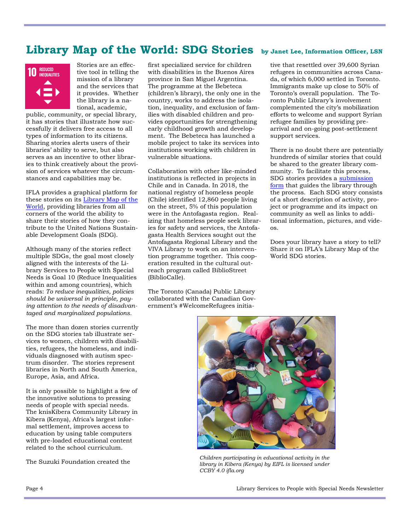### **Library Map of the World: SDG Stories by Janet Lee, Information Officer, LSN**



Stories are an effective tool in telling the mission of a library and the services that it provides. Whether the library is a national, academic,

public, community, or special library, it has stories that illustrate how successfully it delivers free access to all types of information to its citizens. Sharing stories alerts users of their libraries' ability to serve, but also serves as an incentive to other libraries to think creatively about the provision of services whatever the circumstances and capabilities may be.

IFLA provides a graphical platform for these stories on its [Library Map of the](https://librarymap.ifla.org/)  [World,](https://librarymap.ifla.org/) providing libraries from all corners of the world the ability to share their stories of how they contribute to the United Nations Sustainable Development Goals (SDG).

Although many of the stories reflect multiple SDGs, the goal most closely aligned with the interests of the Library Services to People with Special Needs is Goal 10 (Reduce Inequalities within and among countries), which reads: *To reduce inequalities, policies should be universal in principle, paying attention to the needs of disadvantaged and marginalized populations.*

The more than dozen stories currently on the SDG stories tab illustrate services to women, children with disabilities, refugees, the homeless, and individuals diagnosed with autism spectrum disorder. The stories represent libraries in North and South America, Europe, Asia, and Africa.

It is only possible to highlight a few of the innovative solutions to pressing needs of people with special needs. The knisKibera Community Library in Kibera (Kenya), Africa's largest informal settlement, improves access to education by using table computers with pre-loaded educational content related to the school curriculum.

The Suzuki Foundation created the

first specialized service for children with disabilities in the Buenos Aires province in San Miguel Argentina. The programme at the Bebeteca (children's library), the only one in the country, works to address the isolation, inequality, and exclusion of families with disabled children and provides opportunities for strengthening early childhood growth and development. The Bebeteca has launched a mobile project to take its services into institutions working with children in vulnerable situations.

Collaboration with other like-minded institutions is reflected in projects in Chile and in Canada. In 2018, the national registry of homeless people (Chile) identified 12,860 people living on the street, 5% of this population were in the Antofagasta region. Realizing that homeless people seek libraries for safety and services, the Antofagasta Health Services sought out the Antofagasta Regional Library and the VIVA Library to work on an intervention programme together. This cooperation resulted in the cultural outreach program called BiblioStreet (BiblioCalle).

The Toronto (Canada) Public Library collaborated with the Canadian Government's #WelcomeRefugees initia-

tive that resettled over 39,600 Syrian refugees in communities across Canada, of which 6,000 settled in Toronto. Immigrants make up close to 50% of Toronto's overall population. The Toronto Public Library's involvement complemented the city's mobilization efforts to welcome and support Syrian refugee families by providing prearrival and on-going post-settlement support services.

There is no doubt there are potentially hundreds of similar stories that could be shared to the greater library community. To facilitate this process, SDG stories provides a [submission](https://www.surveygizmo.com/s3/4053281/SDG-story-submission)  [form](https://www.surveygizmo.com/s3/4053281/SDG-story-submission) that guides the library through the process. Each SDG story consists of a short description of activity, project or programme and its impact on community as well as links to additional information, pictures, and videos.

Does your library have a story to tell? Share it on IFLA's Library Map of the World SDG stories.



*Children participating in educational activity in the library in Kibera (Kenya) by EIFL is licensed under CCBY 4.0 ifla.org*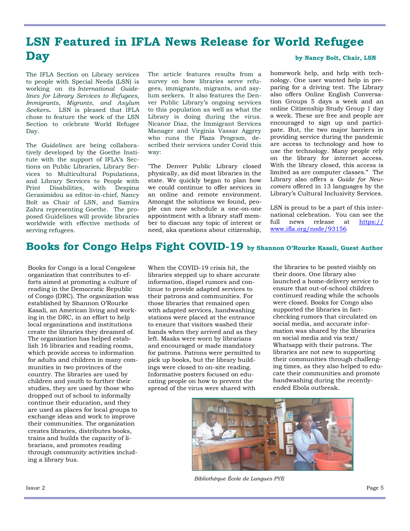## **LSN Featured in IFLA News Release for World Refugee Day** by Nancy Bolt, Chair, LSN

The IFLA Section on Library services to people with Special Needs (LSN) is working on its *International Guidelines for Library Services to Refugees, Immigrants, Migrants, and Asylum Seekers***.** LSN is pleased that IFLA chose to feature the work of the LSN Section to celebrate World Refugee Day.

The *Guidelines* are being collaboratively developed by the Goethe Institute with the support of IFLA's Sections on Public Libraries, Library Services to Multicultural Populations, and Library Services to People with Print Disabilities, with Despina Gerasimidou as editor-in-chief, Nancy Bolt as Chair of LSN, and Samira Zahra representing Goethe. The proposed Guidelines will provide libraries worldwide with effective methods of serving refugees.

The article features results from a survey on how libraries serve refugees, immigrants, migrants, and asylum seekers. It also features the Denver Public Library's ongoing services to this population as well as what the Library is doing during the virus. Nicanor Diaz, the Immigrant Services Manager and Virginia Vassar Aggrey who runs the Plaza Program, described their services under Covid this way:

"The Denver Public Library closed physically, as did most libraries in the state. We quickly began to plan how we could continue to offer services in an online and remote environment. Amongst the solutions we found, people can now schedule a one-on-one appointment with a library staff member to discuss any topic of interest or need, aka questions about citizenship,

homework help, and help with technology. One user wanted help in preparing for a driving test. The Library also offers Online English Conversation Groups 5 days a week and an online Citizenship Study Group 1 day a week. These are free and people are encouraged to sign up and participate. But, the two major barriers in providing service during the pandemic are access to technology and how to use the technology. Many people rely on the library for internet access. With the library closed, this access is limited as are computer classes." The Library also offers a *Guide for Newcomers* offered in 13 languages by the Library's Cultural Inclusivity Services.

LSN is proud to be a part of this international celebration. You can see the full news release at [https://](https://www.ifla.org/node/93156) [www.ifla.org/node/93156](https://www.ifla.org/node/93156)

### **Books for Congo Helps Fight COVID-19 by Shannon O'Rourke Kasali, Guest Author**

Books for Congo is a local Congolese organization that contributes to efforts aimed at promoting a culture of reading in the Democratic Republic of Congo (DRC). The organization was established by Shannon O'Rourke Kasali, an American living and working in the DRC, in an effort to help local organizations and institutions create the libraries they dreamed of. The organization has helped establish 16 libraries and reading rooms, which provide access to information for adults and children in many communities in two provinces of the country. The libraries are used by children and youth to further their studies, they are used by those who dropped out of school to informally continue their education, and they are used as places for local groups to exchange ideas and work to improve their communities. The organization creates libraries, distributes books, trains and builds the capacity of librarians, and promotes reading through community activities including a library bus.

When the COVID-19 crisis hit, the libraries stepped up to share accurate information, dispel rumors and continue to provide adapted services to their patrons and communities. For those libraries that remained open with adapted services, handwashing stations were placed at the entrance to ensure that visitors washed their hands when they arrived and as they left. Masks were worn by librarians and encouraged or made mandatory for patrons. Patrons were permitted to pick up books, but the library buildings were closed to on-site reading. Informative posters focused on educating people on how to prevent the spread of the virus were shared with

the libraries to be posted visibly on their doors. One library also launched a home-delivery service to ensure that out-of-school children continued reading while the schools were closed. Books for Congo also supported the libraries in factchecking rumors that circulated on social media, and accurate information was shared by the libraries on social media and via text/ Whatsapp with their patrons. The libraries are not new to supporting their communities through challenging times, as they also helped to educate their communities and promote handwashing during the recentlyended Ebola outbreak.



*Bibliothèque École de Langues PYE*